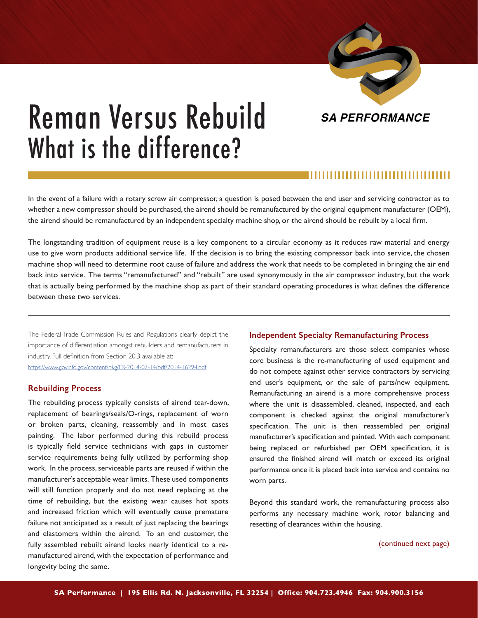

# Reman Versus Rebuild What is the difference?

In the event of a failure with a rotary screw air compressor, a question is posed between the end user and servicing contractor as to whether a new compressor should be purchased, the airend should be remanufactured by the original equipment manufacturer (OEM), the airend should be remanufactured by an independent specialty machine shop, or the airend should be rebuilt by a local firm.

The longstanding tradition of equipment reuse is a key component to a circular economy as it reduces raw material and energy use to give worn products additional service life. If the decision is to bring the existing compressor back into service, the chosen machine shop will need to determine root cause of failure and address the work that needs to be completed in bringing the air end back into service. The terms "remanufactured" and "rebuilt" are used synonymously in the air compressor industry, but the work that is actually being performed by the machine shop as part of their standard operating procedures is what defines the difference between these two services.

The Federal Trade Commission Rules and Regulations clearly depict the importance of differentiation amongst rebuilders and remanufacturers in industry. Full definition from Section 20.3 available at: <https://www.govinfo.gov/content/pkg/FR-2014-07-14/pdf/2014-16294.pdf>

# **Rebuilding Process**

The rebuilding process typically consists of airend tear-down, replacement of bearings/seals/O-rings, replacement of worn or broken parts, cleaning, reassembly and in most cases painting. The labor performed during this rebuild process is typically field service technicians with gaps in customer service requirements being fully utilized by performing shop work. In the process, serviceable parts are reused if within the manufacturer's acceptable wear limits. These used components will still function properly and do not need replacing at the time of rebuilding, but the existing wear causes hot spots and increased friction which will eventually cause premature failure not anticipated as a result of just replacing the bearings and elastomers within the airend. To an end customer, the fully assembled rebuilt airend looks nearly identical to a remanufactured airend, with the expectation of performance and longevity being the same.

### **Independent Specialty Remanufacturing Process**

Specialty remanufacturers are those select companies whose core business is the re-manufacturing of used equipment and do not compete against other service contractors by servicing end user's equipment, or the sale of parts/new equipment. Remanufacturing an airend is a more comprehensive process where the unit is disassembled, cleaned, inspected, and each component is checked against the original manufacturer's specification. The unit is then reassembled per original manufacturer's specification and painted. With each component being replaced or refurbished per OEM specification, it is ensured the finished airend will match or exceed its original performance once it is placed back into service and contains no worn parts.

Beyond this standard work, the remanufacturing process also performs any necessary machine work, rotor balancing and resetting of clearances within the housing.

(continued next page)